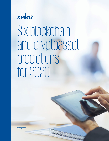

Six blockchain and cryptoasset predictions for 2020

kpmg.com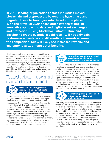**In 2019, leading organizations across industries moved blockchain and cryptoassets beyond the hype phase and migrated these technologies into the adoption phase. With the arrival of 2020, those organizations taking an innovative approach to data and digital asset exchanges and protection—using blockchain infrastructure and developing crypto custody capabilities—will not only gain first-mover advantage and differentiate themselves among the competition, but will likely see increased revenue and customer loyalty, among other benefits.**

"Business executives are leveraging the capabilities of blockchain and tokenized assets to spur an unprecedented level of innovation, differentiate themselves, drive new revenue models and retain market share, as well as to advance their strategies, systems and processes," said Arun Ghosh, U.S. Blockchain Leader at KPMG. "In 2020, we anticipate adoption at scale given its ubiquitous and wide availability as organizations embed enterprise blockchain in their digital strategy and investments."

## We expect the following blockchain and cryptoasset trends to emerge in 2020:



**Advancements in cryptoasset custody technology will create new market opportunities.**

One of the greatest barriers to the widespread adoption of cryptoassets is the concept of custody—how digital assets are owned, stored, secured, transferred and accessed in a decentralized environment. Until recently, there has been a lack of both technology solutions and regulatory frameworks addressing custody challenges, but new capabilities are on the rise. Multiparty computation (MPC) technology is ready for prime time and is enabling secure, highly-available wallet infrastructure for highfrequency traders and asset managers requiring instant access to their funds. In 2020, we will see more third-party technology providers and systems integrators enabling efficient adoption of MPC and other custody solutions, opening the door for new business opportunities.



**New technology frameworks and scaled adoption of cryptoassets will be driven by the public sector.**

The race to integrate crypto into existing global financial institutions is very real. Globally, governments are anticipating the launch of central bank digital currencies (CBDC) to realize strategic and competitive advantages within the global trade system. Central banks in Asia and Europe, for example, are in the final stages of launching digital currencies for future payment systems and cross-border transactions. In 2020, we at KPMG expect to assist regional and central banks in the development of well-defined technology frameworks that can anchor private sector initiatives. Accounting standards for valuation and reporting will also likely emerge.



#### **A shift from private-permissioned to interoperable blockchain implementations.**

With many private blockchain implementations coming to fruition, the next step is interoperability—integrating private and public blockchains to become ecosystems and trade networks. This will create greater efficiency across supply chains, enabling the integration of middle- and back-office processes, payment layers and more. And, given that blockchain is a cloud-first technology, this configuration of new, commercially-available distributed ledgers can serve as a 'trust layer' for existing and new data; drive accountability, reliability and traceability across ecosystems by validating and protecting stored data; and improve compliance.

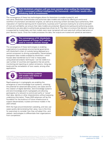

#### **Early blockchain adopters will see more success when scaling the technology with a converged artificial intelligence (AI) framework—and better results when initializing their AI investments.**

The convergence of these two technologies allows for blockchain to enable trusted AI, and vice versa. Blockchain authenticates and authorizes data models and outputs by offering an end-to-end workflow of automation and decision engines, as well as by ensuring content and data input authenticity. With maturation of machine learning and AI investments, business and IT sponsors looking for an end-to-end path of trust and verifiability can ensure their data models are protected. Beyond encrypting and authorizing access, mechanisms are also able to authenticate perspectives driven by AI. The idea is to ensure that decision making is supported by trusted data, and that models were never tampered with and were built without bad actors or poor decision inputs. Once the model processes the data, the outputs are trusted and upheld as sacrosanct.



#### **The convergence of AI, blockchain, and Internet of Things (IoT) will be used to manage climate change.**

The convergence of these technologies is enabling organizations to accelerate environmental governance, with blockchain's chain of custody being deployed as a central component to driving sustainability. Decentralized, transparent data models enabled by blockchain—which houses data transferred via IoT that is measurable using advanced analytic techniques—can be visible to a vast number of countries and regulators that are jointly monitoring and reporting on carbon emissions, rising sea levels and the remediation of toxic waste, among other applications.



#### **Zero-knowledge systems will enable new forms of self-sovereignty.**

Rapid advances in cryptography are enabling the emergence of zero-knowledge trust systems, unlocking the potential for advanced data privacy use cases and for the creation of digital identities. Zero-knowledge systems and zero-knowledge proof cryptography are allowing participants of a network to control and verify or "prove" their data, identity or other characteristics without exposing underlying information. These 2020 advances will lay the foundation for the build-out of future infrastructure to support decentralized, trusted commerce models in the years ahead.

With the hype around blockchain subsiding, and new use cases quickly demonstrating their value, now is the time for executives to consider how they will adopt this—and related—technologies to differentiate their organizations from competitors.